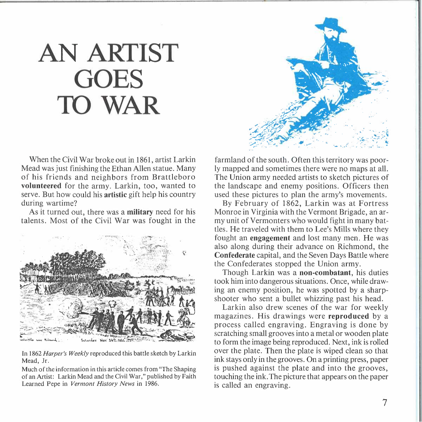## **AN ARTIST GOES TO WAR**

When the Civil War broke out in 1861, artist Larkin Mead was just finishing the Ethan Allen statue. Many of his friends and neighbors from Brattleboro **volunteered** for the army. Larkin, too, wanted to serve. But how could his **artistic** gift help his country during wartime?

As it turned out, there was a **military** need for his talents. Most of the Civil War was fought in the



In 1862 *Harper's Weekly* reproduced this battle sketch by Larkin Mead, Jr.

Much of the information in this article comes from "The Shaping of an Artist: Larkin Mead and the Civil War," published by Faith Learned Pepe in *Vermont History News* in 1986.



farmland of the south. Often this territory was poorly mapped and sometimes there were no maps at all. The Union army needed artists to sketch pictures of the landscape and enemy positions. Officers then used these pictures to plan the army's movements.

By February of 1862, Larkin was at Fortress Monroe in Virginia with the Vermont Brigade, an army unit of Vermonters who would fight in many battles. He traveled with them to Lee's Mills where they fought an **engagement** and lost many men. He was also along during their advance on Richmond, the **Confederate** capital, and the Seven Days Battle where the Confederates stopped the Union army.

Though Larkin was a **non-combatant,** his duties took him into dangerous situations. Once, while drawing an enemy position, he was spotted by a sharpshooter who sent a bullet whizzing past his head.

Larkin also drew scenes of the war for weekly magazines. His drawings were **reproduced** by a process called engraving. Engraving is done by scratching small grooves into a metal or wooden plate to form the image being reproduced. Next, ink is rolled over the plate. Then the plate is wiped clean so that ink stays only in the grooves. On a printing press, paper is pushed against the plate and into the grooves, touching the ink. The picture that appears on the paper is called an engraving.